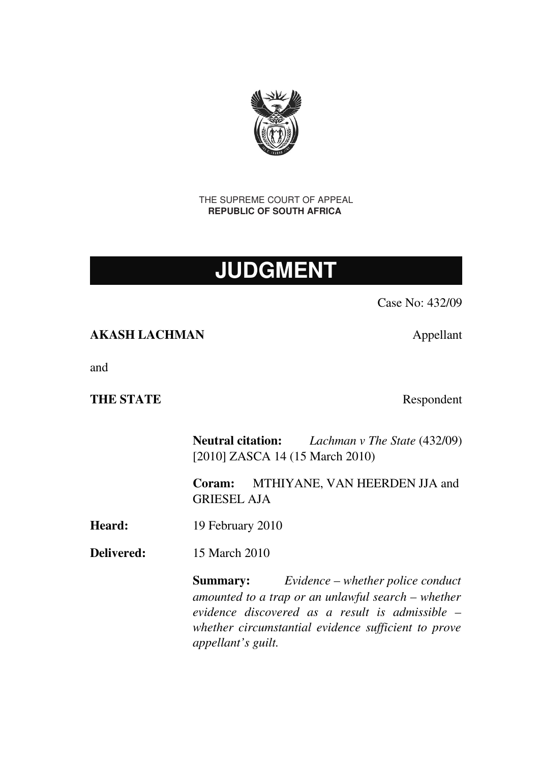

THE SUPREME COURT OF APPEAL **REPUBLIC OF SOUTH AFRICA** 

# **JUDGMENT**

Case No: 432/09

## AKASH LACHMAN Appellant

and

## THE STATE Respondent

Neutral citation: *Lachman v The State* (432/09) [2010] ZASCA 14 (15 March 2010)

Coram: MTHIYANE, VAN HEERDEN JJA and GRIESEL AJA

Heard: 19 February 2010

Delivered: 15 March 2010

Summary: *Evidence – whether police conduct amounted to a trap or an unlawful search – whether evidence discovered as a result is admissible – whether circumstantial evidence sufficient to prove appellant's guilt.*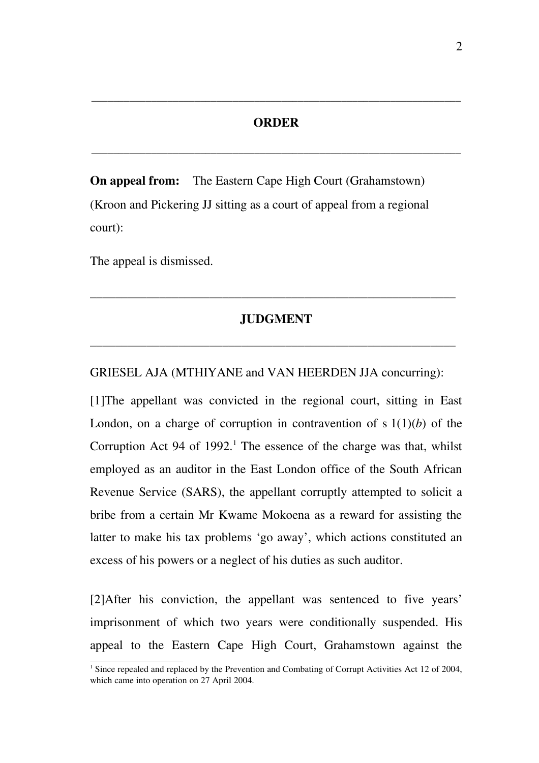#### ORDER

\_\_\_\_\_\_\_\_\_\_\_\_\_\_\_\_\_\_\_\_\_\_\_\_\_\_\_\_\_\_\_\_\_\_\_\_\_\_\_\_\_\_\_\_\_\_\_\_\_\_\_\_\_\_\_\_\_\_\_\_\_\_\_\_\_\_\_\_

\_\_\_\_\_\_\_\_\_\_\_\_\_\_\_\_\_\_\_\_\_\_\_\_\_\_\_\_\_\_\_\_\_\_\_\_\_\_\_\_\_\_\_\_\_\_\_\_\_\_\_\_\_\_\_\_\_\_\_\_\_\_\_\_\_\_\_\_

On appeal from: The Eastern Cape High Court (Grahamstown) (Kroon and Pickering JJ sitting as a court of appeal from a regional court):

The appeal is dismissed.

## JUDGMENT

\_\_\_\_\_\_\_\_\_\_\_\_\_\_\_\_\_\_\_\_\_\_\_\_\_\_\_\_\_\_\_\_\_\_\_\_\_\_\_\_\_\_\_\_\_\_\_\_\_\_\_\_\_\_\_\_\_\_

\_\_\_\_\_\_\_\_\_\_\_\_\_\_\_\_\_\_\_\_\_\_\_\_\_\_\_\_\_\_\_\_\_\_\_\_\_\_\_\_\_\_\_\_\_\_\_\_\_\_\_\_\_\_\_\_\_\_

#### GRIESEL AJA (MTHIYANE and VAN HEERDEN JJA concurring):

[1] The appellant was convicted in the regional court, sitting in East London, on a charge of corruption in contravention of s  $1(1)(b)$  of the Corruption Act 94 of  $1992$  $1992$ .<sup>1</sup> The essence of the charge was that, whilst employed as an auditor in the East London office of the South African Revenue Service (SARS), the appellant corruptly attempted to solicit a bribe from a certain Mr Kwame Mokoena as a reward for assisting the latter to make his tax problems 'go away', which actions constituted an excess of his powers or a neglect of his duties as such auditor.

[2]After his conviction, the appellant was sentenced to five years' imprisonment of which two years were conditionally suspended. His appeal to the Eastern Cape High Court, Grahamstown against the

<span id="page-1-0"></span><sup>&</sup>lt;sup>1</sup> Since repealed and replaced by the Prevention and Combating of Corrupt Activities Act 12 of 2004, which came into operation on 27 April 2004.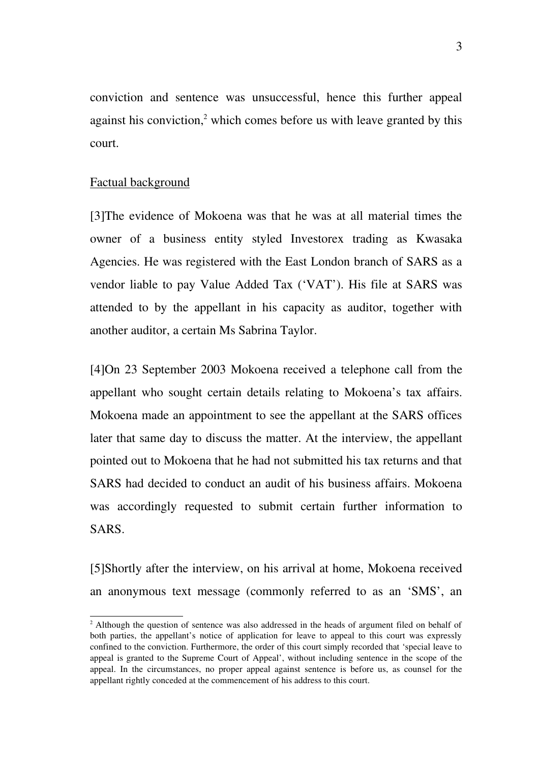conviction and sentence was unsuccessful, hence this further appeal against his conviction,<sup>[2](#page-2-0)</sup> which comes before us with leave granted by this court.

#### Factual background

[3]The evidence of Mokoena was that he was at all material times the owner of a business entity styled Investorex trading as Kwasaka Agencies. He was registered with the East London branch of SARS as a vendor liable to pay Value Added Tax ('VAT'). His file at SARS was attended to by the appellant in his capacity as auditor, together with another auditor, a certain Ms Sabrina Taylor.

[4]On 23 September 2003 Mokoena received a telephone call from the appellant who sought certain details relating to Mokoena's tax affairs. Mokoena made an appointment to see the appellant at the SARS offices later that same day to discuss the matter. At the interview, the appellant pointed out to Mokoena that he had not submitted his tax returns and that SARS had decided to conduct an audit of his business affairs. Mokoena was accordingly requested to submit certain further information to SARS.

[5]Shortly after the interview, on his arrival at home, Mokoena received an anonymous text message (commonly referred to as an 'SMS', an

<span id="page-2-0"></span><sup>&</sup>lt;sup>2</sup> Although the question of sentence was also addressed in the heads of argument filed on behalf of both parties, the appellant's notice of application for leave to appeal to this court was expressly confined to the conviction. Furthermore, the order of this court simply recorded that 'special leave to appeal is granted to the Supreme Court of Appeal', without including sentence in the scope of the appeal. In the circumstances, no proper appeal against sentence is before us, as counsel for the appellant rightly conceded at the commencement of his address to this court.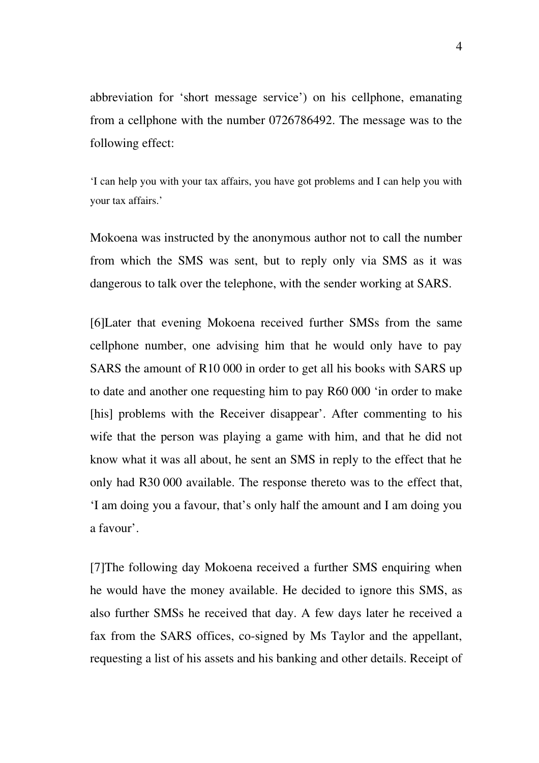abbreviation for 'short message service') on his cellphone, emanating from a cellphone with the number 0726786492. The message was to the following effect:

'I can help you with your tax affairs, you have got problems and I can help you with your tax affairs.'

Mokoena was instructed by the anonymous author not to call the number from which the SMS was sent, but to reply only via SMS as it was dangerous to talk over the telephone, with the sender working at SARS.

[6]Later that evening Mokoena received further SMSs from the same cellphone number, one advising him that he would only have to pay SARS the amount of R10 000 in order to get all his books with SARS up to date and another one requesting him to pay R60 000 'in order to make [his] problems with the Receiver disappear'. After commenting to his wife that the person was playing a game with him, and that he did not know what it was all about, he sent an SMS in reply to the effect that he only had R30 000 available. The response thereto was to the effect that, 'I am doing you a favour, that's only half the amount and I am doing you a favour'.

[7]The following day Mokoena received a further SMS enquiring when he would have the money available. He decided to ignore this SMS, as also further SMSs he received that day. A few days later he received a fax from the SARS offices, co-signed by Ms Taylor and the appellant, requesting a list of his assets and his banking and other details. Receipt of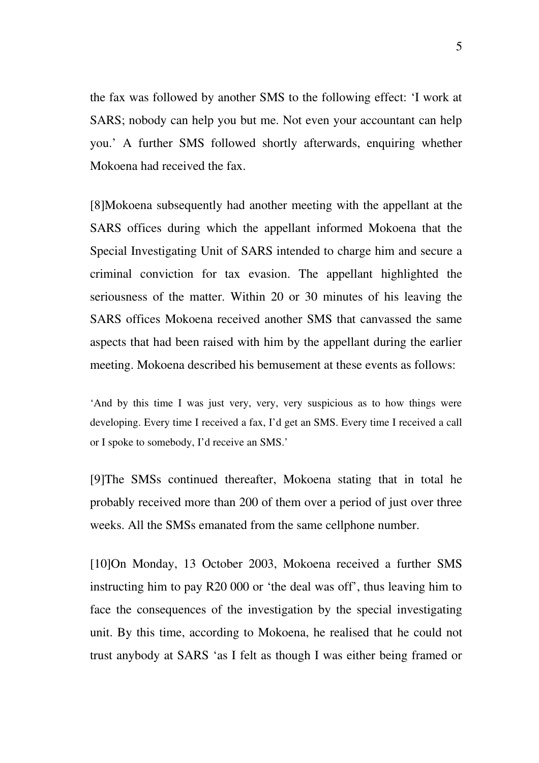the fax was followed by another SMS to the following effect: 'I work at SARS; nobody can help you but me. Not even your accountant can help you.' A further SMS followed shortly afterwards, enquiring whether Mokoena had received the fax.

[8]Mokoena subsequently had another meeting with the appellant at the SARS offices during which the appellant informed Mokoena that the Special Investigating Unit of SARS intended to charge him and secure a criminal conviction for tax evasion. The appellant highlighted the seriousness of the matter. Within 20 or 30 minutes of his leaving the SARS offices Mokoena received another SMS that canvassed the same aspects that had been raised with him by the appellant during the earlier meeting. Mokoena described his bemusement at these events as follows:

'And by this time I was just very, very, very suspicious as to how things were developing. Every time I received a fax, I'd get an SMS. Every time I received a call or I spoke to somebody, I'd receive an SMS.'

[9]The SMSs continued thereafter, Mokoena stating that in total he probably received more than 200 of them over a period of just over three weeks. All the SMSs emanated from the same cellphone number.

[10]On Monday, 13 October 2003, Mokoena received a further SMS instructing him to pay R20 000 or 'the deal was off', thus leaving him to face the consequences of the investigation by the special investigating unit. By this time, according to Mokoena, he realised that he could not trust anybody at SARS 'as I felt as though I was either being framed or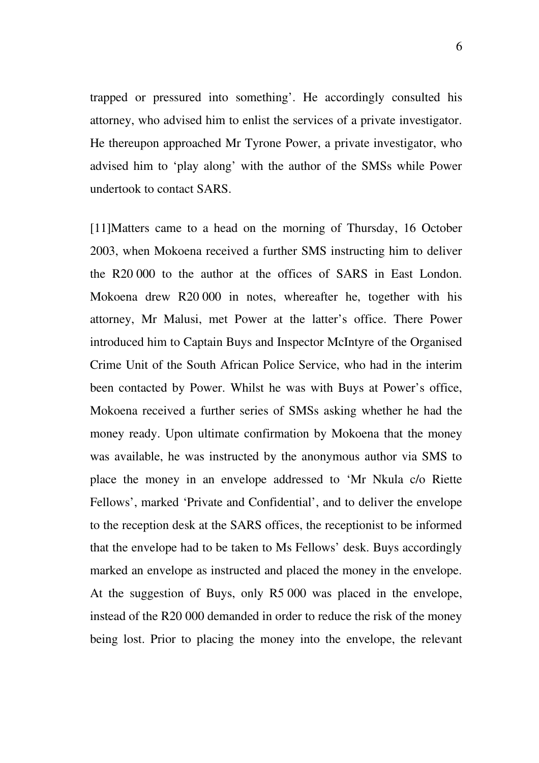trapped or pressured into something'. He accordingly consulted his attorney, who advised him to enlist the services of a private investigator. He thereupon approached Mr Tyrone Power, a private investigator, who advised him to 'play along' with the author of the SMSs while Power undertook to contact SARS.

[11]Matters came to a head on the morning of Thursday, 16 October 2003, when Mokoena received a further SMS instructing him to deliver the R20 000 to the author at the offices of SARS in East London. Mokoena drew R20 000 in notes, whereafter he, together with his attorney, Mr Malusi, met Power at the latter's office. There Power introduced him to Captain Buys and Inspector McIntyre of the Organised Crime Unit of the South African Police Service, who had in the interim been contacted by Power. Whilst he was with Buys at Power's office, Mokoena received a further series of SMSs asking whether he had the money ready. Upon ultimate confirmation by Mokoena that the money was available, he was instructed by the anonymous author via SMS to place the money in an envelope addressed to 'Mr Nkula c/o Riette Fellows', marked 'Private and Confidential', and to deliver the envelope to the reception desk at the SARS offices, the receptionist to be informed that the envelope had to be taken to Ms Fellows' desk. Buys accordingly marked an envelope as instructed and placed the money in the envelope. At the suggestion of Buys, only R5 000 was placed in the envelope, instead of the R20 000 demanded in order to reduce the risk of the money being lost. Prior to placing the money into the envelope, the relevant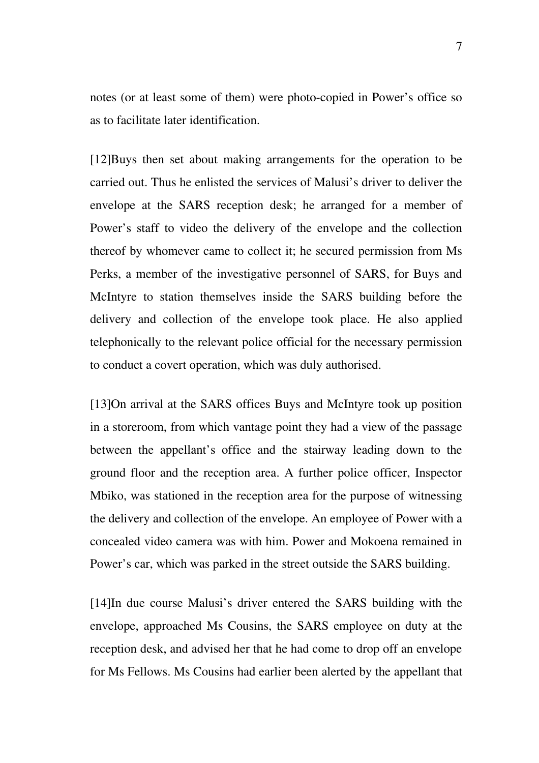notes (or at least some of them) were photo-copied in Power's office so as to facilitate later identification.

[12]Buys then set about making arrangements for the operation to be carried out. Thus he enlisted the services of Malusi's driver to deliver the envelope at the SARS reception desk; he arranged for a member of Power's staff to video the delivery of the envelope and the collection thereof by whomever came to collect it; he secured permission from Ms Perks, a member of the investigative personnel of SARS, for Buys and McIntyre to station themselves inside the SARS building before the delivery and collection of the envelope took place. He also applied telephonically to the relevant police official for the necessary permission to conduct a covert operation, which was duly authorised.

[13]On arrival at the SARS offices Buys and McIntyre took up position in a storeroom, from which vantage point they had a view of the passage between the appellant's office and the stairway leading down to the ground floor and the reception area. A further police officer, Inspector Mbiko, was stationed in the reception area for the purpose of witnessing the delivery and collection of the envelope. An employee of Power with a concealed video camera was with him. Power and Mokoena remained in Power's car, which was parked in the street outside the SARS building.

[14]In due course Malusi's driver entered the SARS building with the envelope, approached Ms Cousins, the SARS employee on duty at the reception desk, and advised her that he had come to drop off an envelope for Ms Fellows. Ms Cousins had earlier been alerted by the appellant that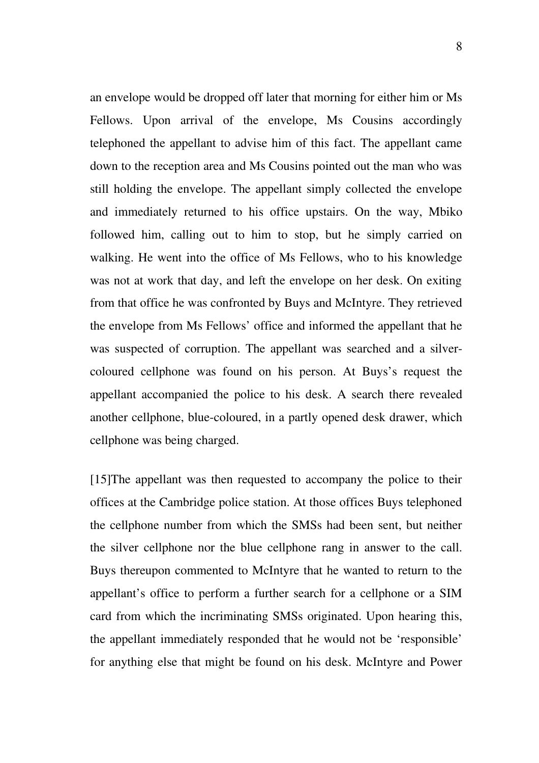an envelope would be dropped off later that morning for either him or Ms Fellows. Upon arrival of the envelope, Ms Cousins accordingly telephoned the appellant to advise him of this fact. The appellant came down to the reception area and Ms Cousins pointed out the man who was still holding the envelope. The appellant simply collected the envelope and immediately returned to his office upstairs. On the way, Mbiko followed him, calling out to him to stop, but he simply carried on walking. He went into the office of Ms Fellows, who to his knowledge was not at work that day, and left the envelope on her desk. On exiting from that office he was confronted by Buys and McIntyre. They retrieved the envelope from Ms Fellows' office and informed the appellant that he was suspected of corruption. The appellant was searched and a silvercoloured cellphone was found on his person. At Buys's request the appellant accompanied the police to his desk. A search there revealed another cellphone, blue-coloured, in a partly opened desk drawer, which cellphone was being charged.

[15]The appellant was then requested to accompany the police to their offices at the Cambridge police station. At those offices Buys telephoned the cellphone number from which the SMSs had been sent, but neither the silver cellphone nor the blue cellphone rang in answer to the call. Buys thereupon commented to McIntyre that he wanted to return to the appellant's office to perform a further search for a cellphone or a SIM card from which the incriminating SMSs originated. Upon hearing this, the appellant immediately responded that he would not be 'responsible' for anything else that might be found on his desk. McIntyre and Power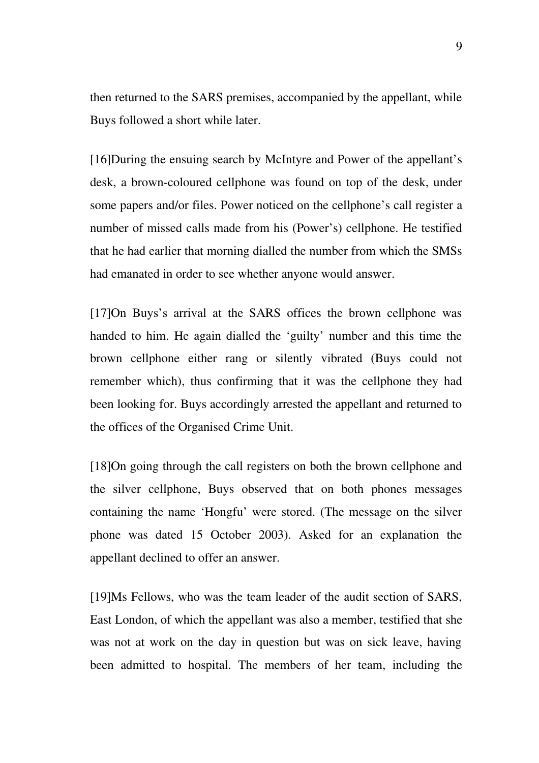then returned to the SARS premises, accompanied by the appellant, while Buys followed a short while later.

[16]During the ensuing search by McIntyre and Power of the appellant's desk, a brown-coloured cellphone was found on top of the desk, under some papers and/or files. Power noticed on the cellphone's call register a number of missed calls made from his (Power's) cellphone. He testified that he had earlier that morning dialled the number from which the SMSs had emanated in order to see whether anyone would answer.

[17]On Buys's arrival at the SARS offices the brown cellphone was handed to him. He again dialled the 'guilty' number and this time the brown cellphone either rang or silently vibrated (Buys could not remember which), thus confirming that it was the cellphone they had been looking for. Buys accordingly arrested the appellant and returned to the offices of the Organised Crime Unit.

[18]On going through the call registers on both the brown cellphone and the silver cellphone, Buys observed that on both phones messages containing the name 'Hongfu' were stored. (The message on the silver phone was dated 15 October 2003). Asked for an explanation the appellant declined to offer an answer.

[19]Ms Fellows, who was the team leader of the audit section of SARS, East London, of which the appellant was also a member, testified that she was not at work on the day in question but was on sick leave, having been admitted to hospital. The members of her team, including the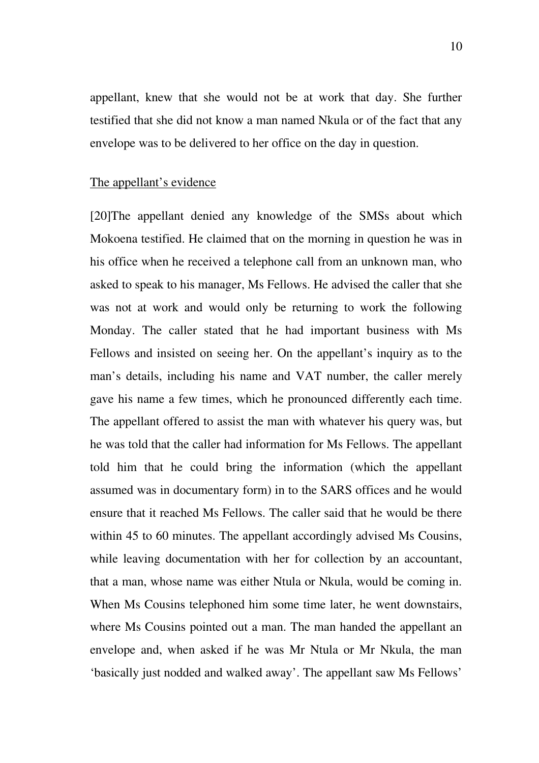appellant, knew that she would not be at work that day. She further testified that she did not know a man named Nkula or of the fact that any envelope was to be delivered to her office on the day in question.

#### The appellant's evidence

[20]The appellant denied any knowledge of the SMSs about which Mokoena testified. He claimed that on the morning in question he was in his office when he received a telephone call from an unknown man, who asked to speak to his manager, Ms Fellows. He advised the caller that she was not at work and would only be returning to work the following Monday. The caller stated that he had important business with Ms Fellows and insisted on seeing her. On the appellant's inquiry as to the man's details, including his name and VAT number, the caller merely gave his name a few times, which he pronounced differently each time. The appellant offered to assist the man with whatever his query was, but he was told that the caller had information for Ms Fellows. The appellant told him that he could bring the information (which the appellant assumed was in documentary form) in to the SARS offices and he would ensure that it reached Ms Fellows. The caller said that he would be there within 45 to 60 minutes. The appellant accordingly advised Ms Cousins, while leaving documentation with her for collection by an accountant, that a man, whose name was either Ntula or Nkula, would be coming in. When Ms Cousins telephoned him some time later, he went downstairs, where Ms Cousins pointed out a man. The man handed the appellant an envelope and, when asked if he was Mr Ntula or Mr Nkula, the man 'basically just nodded and walked away'. The appellant saw Ms Fellows'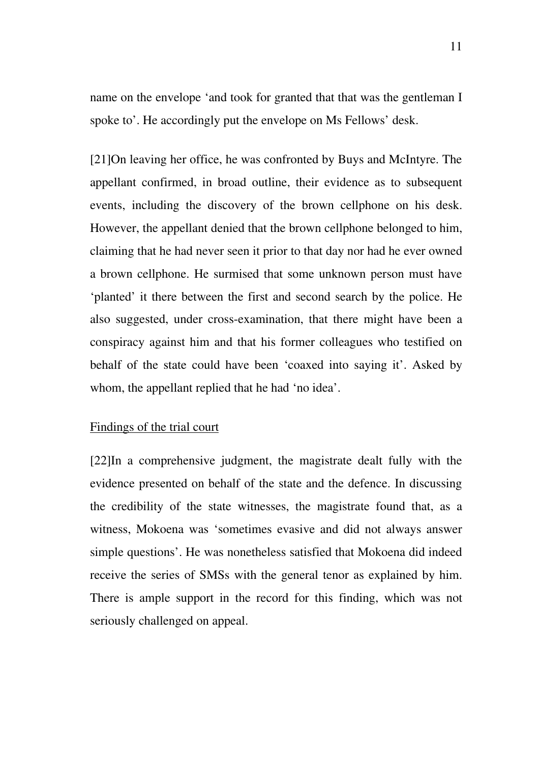name on the envelope 'and took for granted that that was the gentleman I spoke to'. He accordingly put the envelope on Ms Fellows' desk.

[21]On leaving her office, he was confronted by Buys and McIntyre. The appellant confirmed, in broad outline, their evidence as to subsequent events, including the discovery of the brown cellphone on his desk. However, the appellant denied that the brown cellphone belonged to him, claiming that he had never seen it prior to that day nor had he ever owned a brown cellphone. He surmised that some unknown person must have 'planted' it there between the first and second search by the police. He also suggested, under cross-examination, that there might have been a conspiracy against him and that his former colleagues who testified on behalf of the state could have been 'coaxed into saying it'. Asked by whom, the appellant replied that he had 'no idea'.

## Findings of the trial court

[22]In a comprehensive judgment, the magistrate dealt fully with the evidence presented on behalf of the state and the defence. In discussing the credibility of the state witnesses, the magistrate found that, as a witness, Mokoena was 'sometimes evasive and did not always answer simple questions'. He was nonetheless satisfied that Mokoena did indeed receive the series of SMSs with the general tenor as explained by him. There is ample support in the record for this finding, which was not seriously challenged on appeal.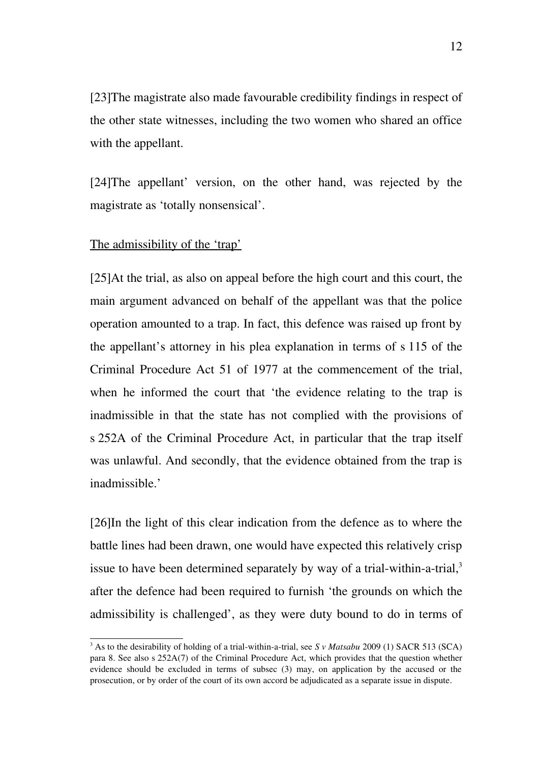[23]The magistrate also made favourable credibility findings in respect of the other state witnesses, including the two women who shared an office with the appellant.

[24] The appellant' version, on the other hand, was rejected by the magistrate as 'totally nonsensical'.

## The admissibility of the 'trap'

[25]At the trial, as also on appeal before the high court and this court, the main argument advanced on behalf of the appellant was that the police operation amounted to a trap. In fact, this defence was raised up front by the appellant's attorney in his plea explanation in terms of s 115 of the Criminal Procedure Act 51 of 1977 at the commencement of the trial, when he informed the court that 'the evidence relating to the trap is inadmissible in that the state has not complied with the provisions of s 252A of the Criminal Procedure Act, in particular that the trap itself was unlawful. And secondly, that the evidence obtained from the trap is inadmissible.'

[26]In the light of this clear indication from the defence as to where the battle lines had been drawn, one would have expected this relatively crisp issue to have been determined separately by way of a trial-within-a-trial, $3$ after the defence had been required to furnish 'the grounds on which the admissibility is challenged', as they were duty bound to do in terms of

<span id="page-11-0"></span><sup>&</sup>lt;sup>3</sup> As to the desirability of holding of a trial-within-a-trial, see *S v Matsabu* 2009 (1) SACR 513 (SCA) para 8. See also s 252A(7) of the Criminal Procedure Act, which provides that the question whether evidence should be excluded in terms of subsec (3) may, on application by the accused or the prosecution, or by order of the court of its own accord be adjudicated as a separate issue in dispute.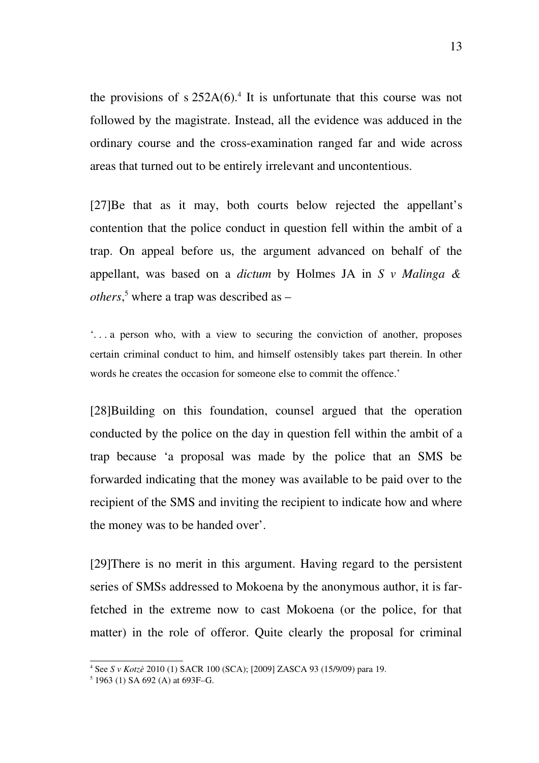the provisions of  $s 252A(6)$ .<sup>[4](#page-12-0)</sup> It is unfortunate that this course was not followed by the magistrate. Instead, all the evidence was adduced in the ordinary course and the cross-examination ranged far and wide across areas that turned out to be entirely irrelevant and uncontentious.

[27]Be that as it may, both courts below rejected the appellant's contention that the police conduct in question fell within the ambit of a trap. On appeal before us, the argument advanced on behalf of the appellant, was based on a *dictum* by Holmes JA in *S v Malinga & others*, [5](#page-12-1) where a trap was described as –

 $\therefore$  . . a person who, with a view to securing the conviction of another, proposes certain criminal conduct to him, and himself ostensibly takes part therein. In other words he creates the occasion for someone else to commit the offence.'

[28]Building on this foundation, counsel argued that the operation conducted by the police on the day in question fell within the ambit of a trap because 'a proposal was made by the police that an SMS be forwarded indicating that the money was available to be paid over to the recipient of the SMS and inviting the recipient to indicate how and where the money was to be handed over'.

[29]There is no merit in this argument. Having regard to the persistent series of SMSs addressed to Mokoena by the anonymous author, it is farfetched in the extreme now to cast Mokoena (or the police, for that matter) in the role of offeror. Quite clearly the proposal for criminal

<span id="page-12-0"></span><sup>4</sup> See *S v Kotzè* 2010 (1) SACR 100 (SCA); [2009] ZASCA 93 (15/9/09) para 19.

<span id="page-12-1"></span><sup>5</sup> 1963 (1) SA 692 (A) at 693F–G.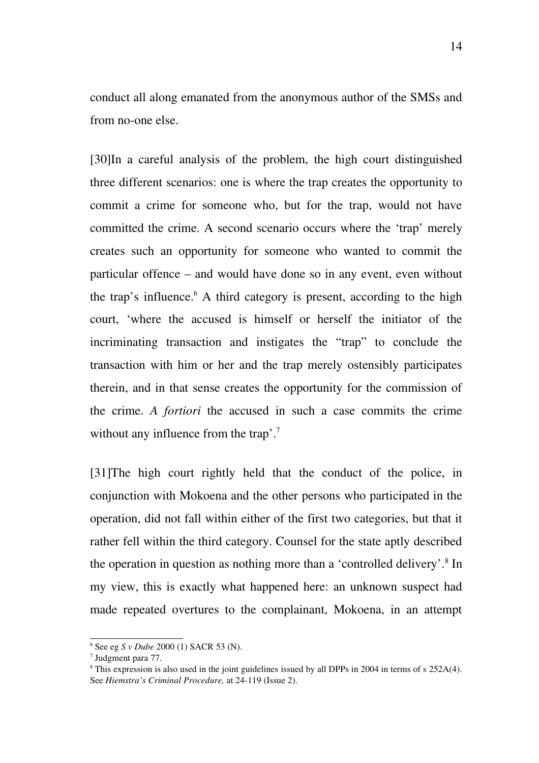conduct all along emanated from the anonymous author of the SMSs and from no-one else.

[30]In a careful analysis of the problem, the high court distinguished three different scenarios: one is where the trap creates the opportunity to commit a crime for someone who, but for the trap, would not have committed the crime. A second scenario occurs where the 'trap' merely creates such an opportunity for someone who wanted to commit the particular offence – and would have done so in any event, even without the trap's influence.<sup>[6](#page-13-0)</sup> A third category is present, according to the high court, 'where the accused is himself or herself the initiator of the incriminating transaction and instigates the "trap" to conclude the transaction with him or her and the trap merely ostensibly participates therein, and in that sense creates the opportunity for the commission of the crime. A *fortiori* the accused in such a case commits the crime without any influence from the trap'.<sup>[7](#page-13-1)</sup>

[31] The high court rightly held that the conduct of the police, in conjunction with Mokoena and the other persons who participated in the operation, did not fall within either of the first two categories, but that it rather fell within the third category. Counsel for the state aptly described the operation in question as nothing more than a 'controlled delivery'.<sup>[8](#page-13-2)</sup> In my view, this is exactly what happened here: an unknown suspect had made repeated overtures to the complainant, Mokoena, in an attempt

<span id="page-13-0"></span><sup>6</sup> See eg *S v Dube* 2000 (1) SACR 53 (N).

<span id="page-13-1"></span><sup>7</sup> Judgment para 77.

<span id="page-13-2"></span><sup>&</sup>lt;sup>8</sup> This expression is also used in the joint guidelines issued by all DPPs in 2004 in terms of s 252A(4). See *Hiemstra's Criminal Procedure*, at 24-119 (Issue 2).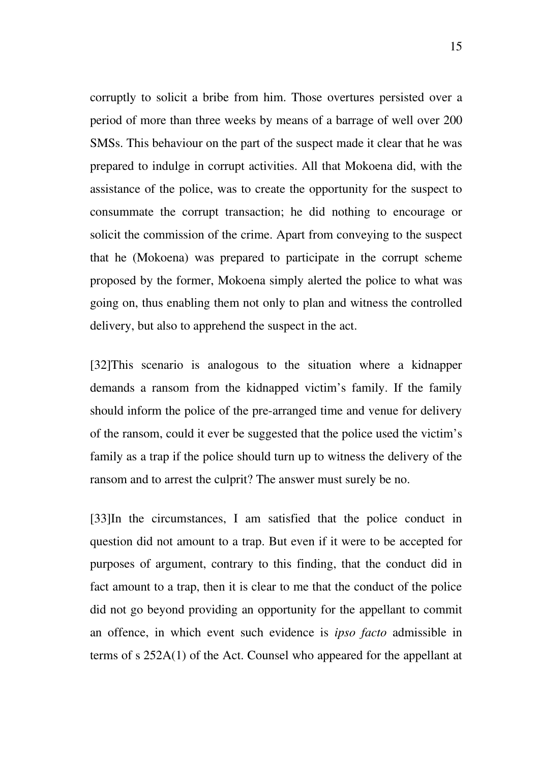corruptly to solicit a bribe from him. Those overtures persisted over a period of more than three weeks by means of a barrage of well over 200 SMSs. This behaviour on the part of the suspect made it clear that he was prepared to indulge in corrupt activities. All that Mokoena did, with the assistance of the police, was to create the opportunity for the suspect to consummate the corrupt transaction; he did nothing to encourage or solicit the commission of the crime. Apart from conveying to the suspect that he (Mokoena) was prepared to participate in the corrupt scheme proposed by the former, Mokoena simply alerted the police to what was going on, thus enabling them not only to plan and witness the controlled delivery, but also to apprehend the suspect in the act.

[32] This scenario is analogous to the situation where a kidnapper demands a ransom from the kidnapped victim's family. If the family should inform the police of the pre-arranged time and venue for delivery of the ransom, could it ever be suggested that the police used the victim's family as a trap if the police should turn up to witness the delivery of the ransom and to arrest the culprit? The answer must surely be no.

[33]In the circumstances, I am satisfied that the police conduct in question did not amount to a trap. But even if it were to be accepted for purposes of argument, contrary to this finding, that the conduct did in fact amount to a trap, then it is clear to me that the conduct of the police did not go beyond providing an opportunity for the appellant to commit an offence, in which event such evidence is *ipso facto* admissible in terms of s 252A(1) of the Act. Counsel who appeared for the appellant at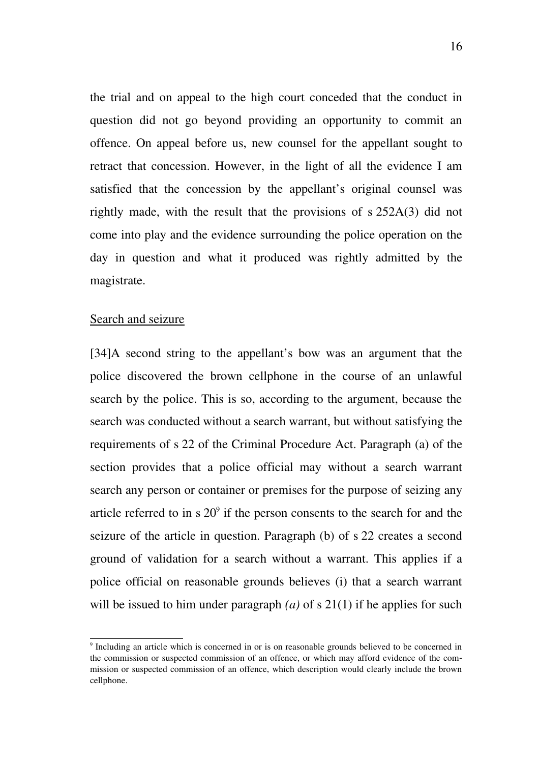the trial and on appeal to the high court conceded that the conduct in question did not go beyond providing an opportunity to commit an offence. On appeal before us, new counsel for the appellant sought to retract that concession. However, in the light of all the evidence I am satisfied that the concession by the appellant's original counsel was rightly made, with the result that the provisions of s 252A(3) did not come into play and the evidence surrounding the police operation on the day in question and what it produced was rightly admitted by the magistrate.

#### Search and seizure

[34]A second string to the appellant's bow was an argument that the police discovered the brown cellphone in the course of an unlawful search by the police. This is so, according to the argument, because the search was conducted without a search warrant, but without satisfying the requirements of s 22 of the Criminal Procedure Act. Paragraph (a) of the section provides that a police official may without a search warrant search any person or container or premises for the purpose of seizing any article referred to in  $s 20^{\circ}$  if the person consents to the search for and the seizure of the article in question. Paragraph (b) of s 22 creates a second ground of validation for a search without a warrant. This applies if a police official on reasonable grounds believes (i) that a search warrant will be issued to him under paragraph *(a)* of s 21(1) if he applies for such

<span id="page-15-0"></span><sup>&</sup>lt;sup>9</sup> Including an article which is concerned in or is on reasonable grounds believed to be concerned in the commission or suspected commission of an offence, or which may afford evidence of the commission or suspected commission of an offence, which description would clearly include the brown cellphone.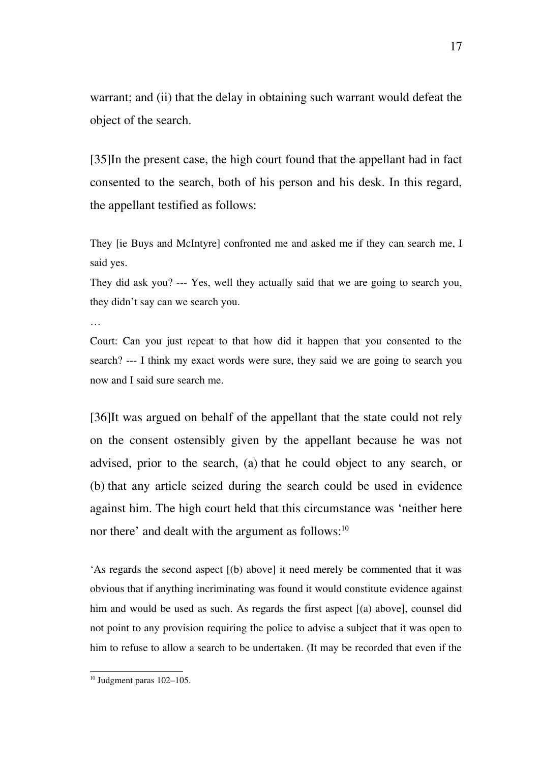warrant; and (ii) that the delay in obtaining such warrant would defeat the object of the search.

[35]In the present case, the high court found that the appellant had in fact consented to the search, both of his person and his desk. In this regard, the appellant testified as follows:

They [ie Buys and McIntyre] confronted me and asked me if they can search me, I said yes.

They did ask you? --- Yes, well they actually said that we are going to search you, they didn't say can we search you.

…

Court: Can you just repeat to that how did it happen that you consented to the search?  $-I$  think my exact words were sure, they said we are going to search you now and I said sure search me.

[36]It was argued on behalf of the appellant that the state could not rely on the consent ostensibly given by the appellant because he was not advised, prior to the search, (a) that he could object to any search, or (b) that any article seized during the search could be used in evidence against him. The high court held that this circumstance was 'neither here nor there' and dealt with the argument as follows:<sup>[10](#page-16-0)</sup>

'As regards the second aspect [(b) above] it need merely be commented that it was obvious that if anything incriminating was found it would constitute evidence against him and would be used as such. As regards the first aspect [(a) above], counsel did not point to any provision requiring the police to advise a subject that it was open to him to refuse to allow a search to be undertaken. (It may be recorded that even if the

<span id="page-16-0"></span> $10$  Judgment paras  $102-105$ .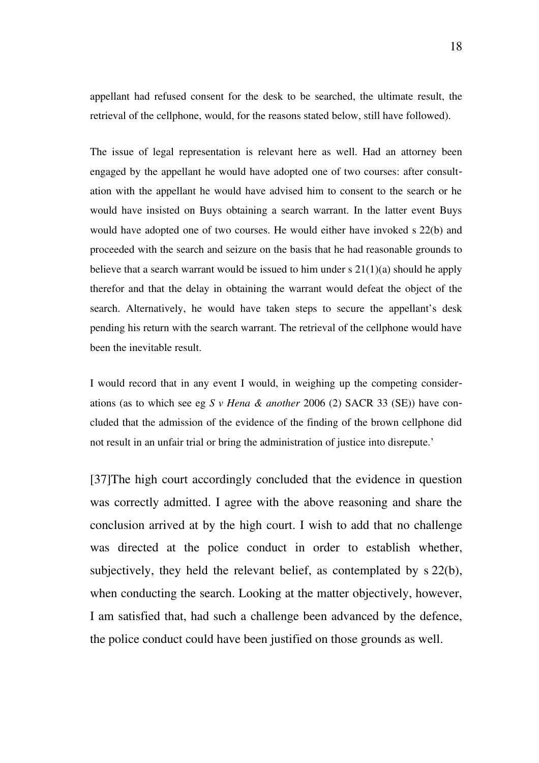appellant had refused consent for the desk to be searched, the ultimate result, the retrieval of the cellphone, would, for the reasons stated below, still have followed).

The issue of legal representation is relevant here as well. Had an attorney been engaged by the appellant he would have adopted one of two courses: after consultation with the appellant he would have advised him to consent to the search or he would have insisted on Buys obtaining a search warrant. In the latter event Buys would have adopted one of two courses. He would either have invoked s 22(b) and proceeded with the search and seizure on the basis that he had reasonable grounds to believe that a search warrant would be issued to him under s  $21(1)(a)$  should he apply therefor and that the delay in obtaining the warrant would defeat the object of the search. Alternatively, he would have taken steps to secure the appellant's desk pending his return with the search warrant. The retrieval of the cellphone would have been the inevitable result.

I would record that in any event I would, in weighing up the competing considerations (as to which see eg *S v Hena & another* 2006 (2) SACR 33 (SE)) have concluded that the admission of the evidence of the finding of the brown cellphone did not result in an unfair trial or bring the administration of justice into disrepute.'

[37]The high court accordingly concluded that the evidence in question was correctly admitted. I agree with the above reasoning and share the conclusion arrived at by the high court. I wish to add that no challenge was directed at the police conduct in order to establish whether, subjectively, they held the relevant belief, as contemplated by s 22(b), when conducting the search. Looking at the matter objectively, however, I am satisfied that, had such a challenge been advanced by the defence, the police conduct could have been justified on those grounds as well.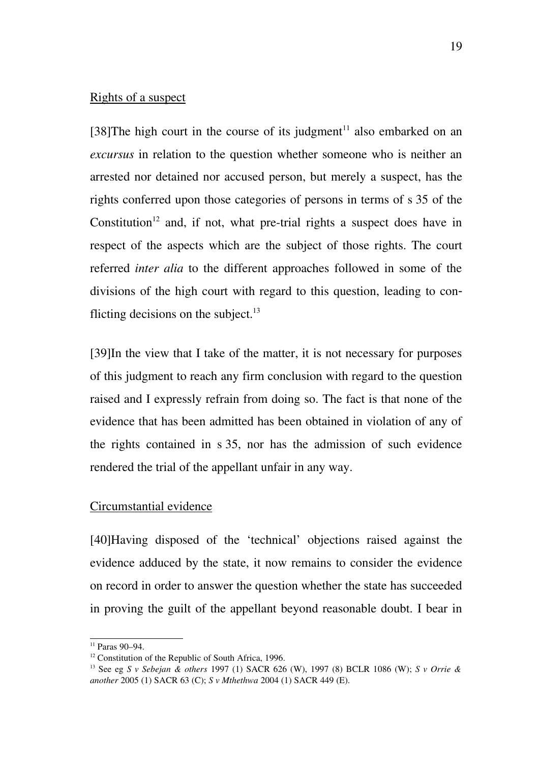### Rights of a suspect

[38] The high court in the course of its judgment<sup>[11](#page-18-0)</sup> also embarked on an *excursus* in relation to the question whether someone who is neither an arrested nor detained nor accused person, but merely a suspect, has the rights conferred upon those categories of persons in terms of s 35 of the Constitution<sup>[12](#page-18-1)</sup> and, if not, what pre-trial rights a suspect does have in respect of the aspects which are the subject of those rights. The court referred *inter alia* to the different approaches followed in some of the divisions of the high court with regard to this question, leading to conflicting decisions on the subject. $^{13}$  $^{13}$  $^{13}$ 

[39]In the view that I take of the matter, it is not necessary for purposes of this judgment to reach any firm conclusion with regard to the question raised and I expressly refrain from doing so. The fact is that none of the evidence that has been admitted has been obtained in violation of any of the rights contained in s 35, nor has the admission of such evidence rendered the trial of the appellant unfair in any way.

#### Circumstantial evidence

[40]Having disposed of the 'technical' objections raised against the evidence adduced by the state, it now remains to consider the evidence on record in order to answer the question whether the state has succeeded in proving the guilt of the appellant beyond reasonable doubt. I bear in

<span id="page-18-0"></span><sup>11</sup> Paras 90–94.

<span id="page-18-1"></span><sup>&</sup>lt;sup>12</sup> Constitution of the Republic of South Africa, 1996.

<span id="page-18-2"></span><sup>13</sup> See eg *S v Sebejan & others* 1997 (1) SACR 626 (W), 1997 (8) BCLR 1086 (W); *S v Orrie & another* 2005 (1) SACR 63 (C); *S v Mthethwa* 2004 (1) SACR 449 (E).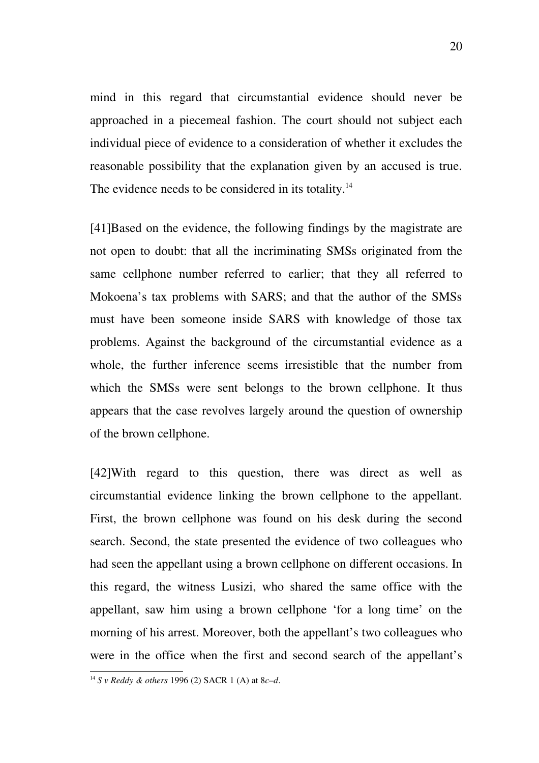mind in this regard that circumstantial evidence should never be approached in a piecemeal fashion. The court should not subject each individual piece of evidence to a consideration of whether it excludes the reasonable possibility that the explanation given by an accused is true. The evidence needs to be considered in its totality.<sup>[14](#page-19-0)</sup>

[41]Based on the evidence, the following findings by the magistrate are not open to doubt: that all the incriminating SMSs originated from the same cellphone number referred to earlier; that they all referred to Mokoena's tax problems with SARS; and that the author of the SMSs must have been someone inside SARS with knowledge of those tax problems. Against the background of the circumstantial evidence as a whole, the further inference seems irresistible that the number from which the SMSs were sent belongs to the brown cellphone. It thus appears that the case revolves largely around the question of ownership of the brown cellphone.

[42]With regard to this question, there was direct as well as circumstantial evidence linking the brown cellphone to the appellant. First, the brown cellphone was found on his desk during the second search. Second, the state presented the evidence of two colleagues who had seen the appellant using a brown cellphone on different occasions. In this regard, the witness Lusizi, who shared the same office with the appellant, saw him using a brown cellphone 'for a long time' on the morning of his arrest. Moreover, both the appellant's two colleagues who were in the office when the first and second search of the appellant's

<span id="page-19-0"></span><sup>14</sup> *S v Reddy & others* 1996 (2) SACR 1 (A) at 8*c–d*.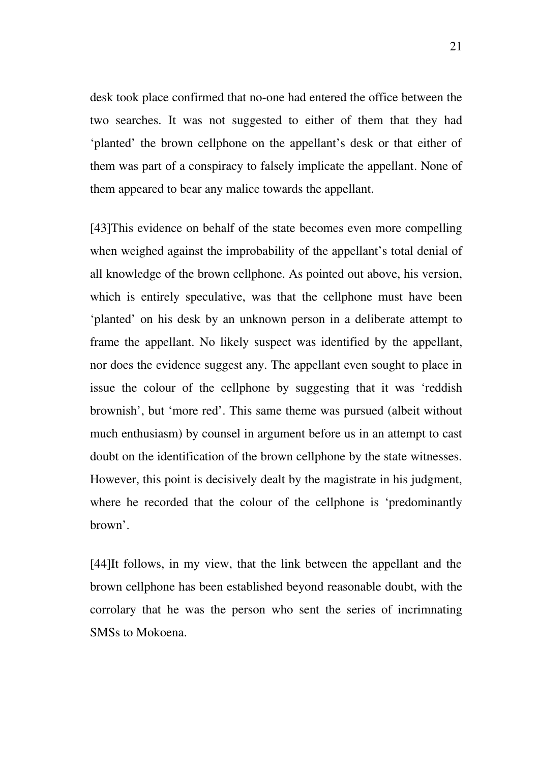desk took place confirmed that no-one had entered the office between the two searches. It was not suggested to either of them that they had 'planted' the brown cellphone on the appellant's desk or that either of them was part of a conspiracy to falsely implicate the appellant. None of them appeared to bear any malice towards the appellant.

[43]This evidence on behalf of the state becomes even more compelling when weighed against the improbability of the appellant's total denial of all knowledge of the brown cellphone. As pointed out above, his version, which is entirely speculative, was that the cellphone must have been 'planted' on his desk by an unknown person in a deliberate attempt to frame the appellant. No likely suspect was identified by the appellant, nor does the evidence suggest any. The appellant even sought to place in issue the colour of the cellphone by suggesting that it was 'reddish brownish', but 'more red'. This same theme was pursued (albeit without much enthusiasm) by counsel in argument before us in an attempt to cast doubt on the identification of the brown cellphone by the state witnesses. However, this point is decisively dealt by the magistrate in his judgment, where he recorded that the colour of the cellphone is 'predominantly brown'.

[44]It follows, in my view, that the link between the appellant and the brown cellphone has been established beyond reasonable doubt, with the corrolary that he was the person who sent the series of incrimnating SMSs to Mokoena.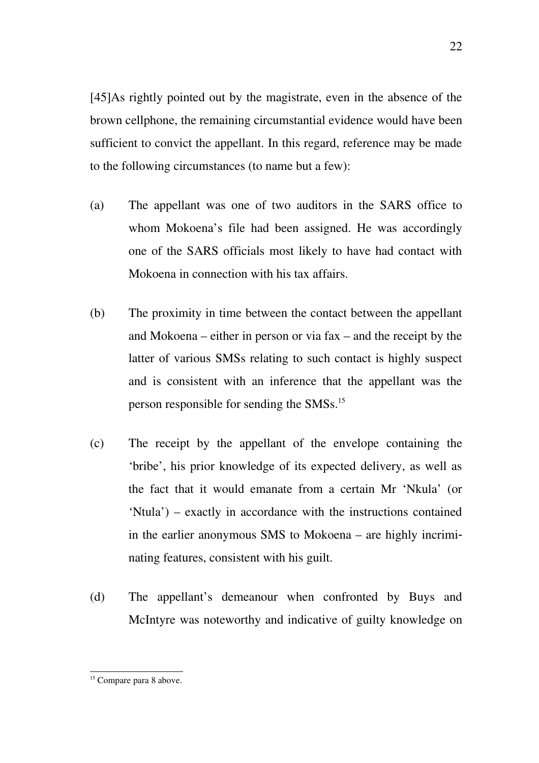[45]As rightly pointed out by the magistrate, even in the absence of the brown cellphone, the remaining circumstantial evidence would have been sufficient to convict the appellant. In this regard, reference may be made to the following circumstances (to name but a few):

- (a) The appellant was one of two auditors in the SARS office to whom Mokoena's file had been assigned. He was accordingly one of the SARS officials most likely to have had contact with Mokoena in connection with his tax affairs.
- (b) The proximity in time between the contact between the appellant and Mokoena – either in person or via fax – and the receipt by the latter of various SMSs relating to such contact is highly suspect and is consistent with an inference that the appellant was the person responsible for sending the SMSs.[15](#page-21-0)
- (c) The receipt by the appellant of the envelope containing the 'bribe', his prior knowledge of its expected delivery, as well as the fact that it would emanate from a certain Mr 'Nkula' (or 'Ntula') – exactly in accordance with the instructions contained in the earlier anonymous SMS to Mokoena – are highly incriminating features, consistent with his guilt.
- (d) The appellant's demeanour when confronted by Buys and McIntyre was noteworthy and indicative of guilty knowledge on

<sup>22</sup>

<span id="page-21-0"></span><sup>&</sup>lt;sup>15</sup> Compare para 8 above.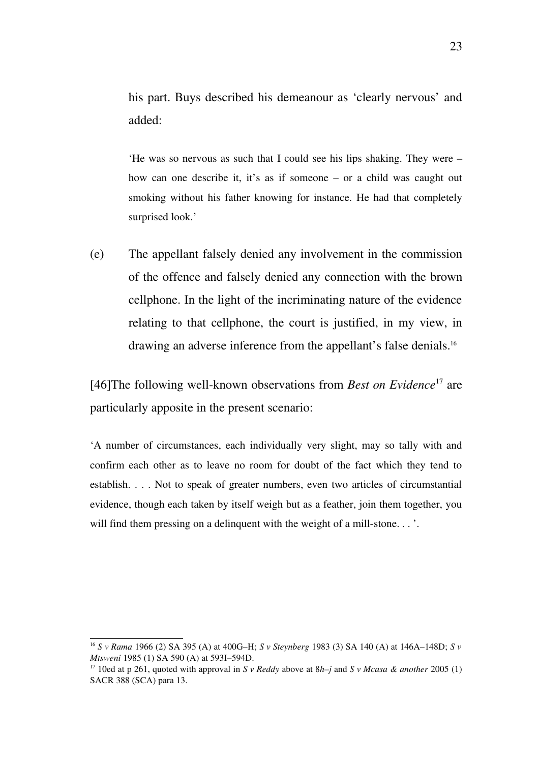his part. Buys described his demeanour as 'clearly nervous' and added:

'He was so nervous as such that I could see his lips shaking. They were – how can one describe it, it's as if someone – or a child was caught out smoking without his father knowing for instance. He had that completely surprised look.'

(e) The appellant falsely denied any involvement in the commission of the offence and falsely denied any connection with the brown cellphone. In the light of the incriminating nature of the evidence relating to that cellphone, the court is justified, in my view, in drawing an adverse inference from the appellant's false denials.[16](#page-22-0)

[46]The following well-known observations from *Best on Evidence*<sup>[17](#page-22-1)</sup> are particularly apposite in the present scenario:

'A number of circumstances, each individually very slight, may so tally with and confirm each other as to leave no room for doubt of the fact which they tend to establish. . . . Not to speak of greater numbers, even two articles of circumstantial evidence, though each taken by itself weigh but as a feather, join them together, you will find them pressing on a delinquent with the weight of a mill-stone...'.

<span id="page-22-0"></span><sup>16</sup> *S v Rama* 1966 (2) SA 395 (A) at 400G–H; *S v Steynberg* 1983 (3) SA 140 (A) at 146A–148D; *S v Mtsweni* 1985 (1) SA 590 (A) at 593I–594D.

<span id="page-22-1"></span><sup>17</sup> 10ed at p 261, quoted with approval in *S v Reddy* above at 8*h–j* and *S v Mcasa & another* 2005 (1) SACR 388 (SCA) para 13.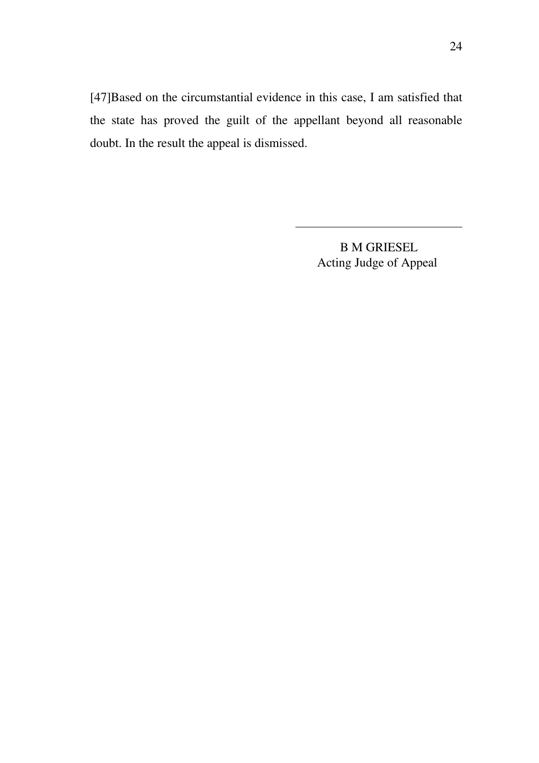[47]Based on the circumstantial evidence in this case, I am satisfied that the state has proved the guilt of the appellant beyond all reasonable doubt. In the result the appeal is dismissed.

> B M GRIESEL Acting Judge of Appeal